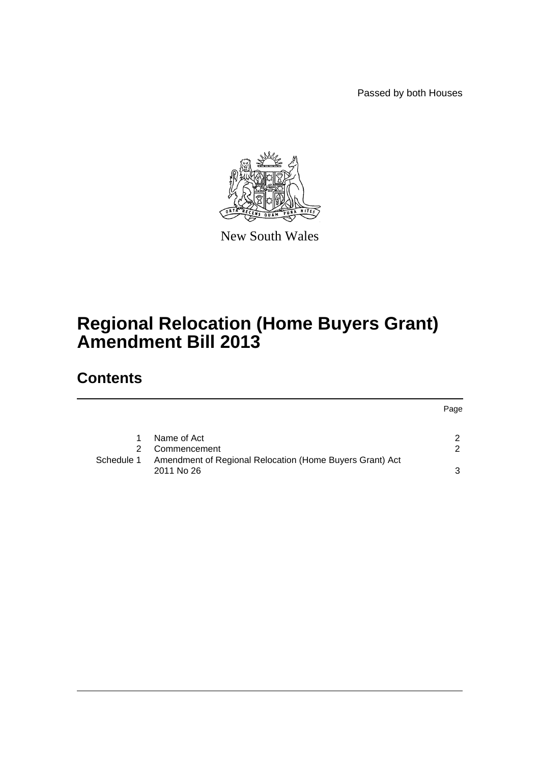Passed by both Houses



New South Wales

# **Regional Relocation (Home Buyers Grant) Amendment Bill 2013**

# **Contents**

Page

|            | Name of Act                                                            |  |
|------------|------------------------------------------------------------------------|--|
|            | 2 Commencement                                                         |  |
| Schedule 1 | Amendment of Regional Relocation (Home Buyers Grant) Act<br>2011 No 26 |  |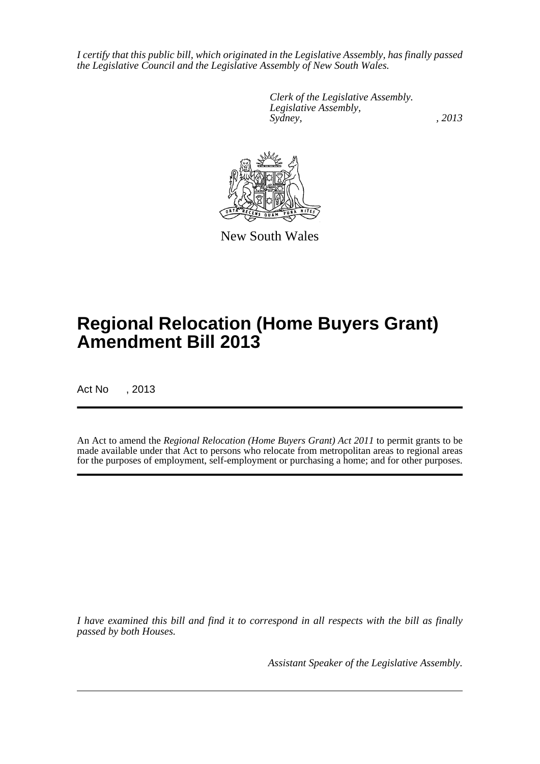*I certify that this public bill, which originated in the Legislative Assembly, has finally passed the Legislative Council and the Legislative Assembly of New South Wales.*

> *Clerk of the Legislative Assembly. Legislative Assembly, Sydney, , 2013*



New South Wales

# **Regional Relocation (Home Buyers Grant) Amendment Bill 2013**

Act No , 2013

An Act to amend the *Regional Relocation (Home Buyers Grant) Act 2011* to permit grants to be made available under that Act to persons who relocate from metropolitan areas to regional areas for the purposes of employment, self-employment or purchasing a home; and for other purposes.

*I have examined this bill and find it to correspond in all respects with the bill as finally passed by both Houses.*

*Assistant Speaker of the Legislative Assembly.*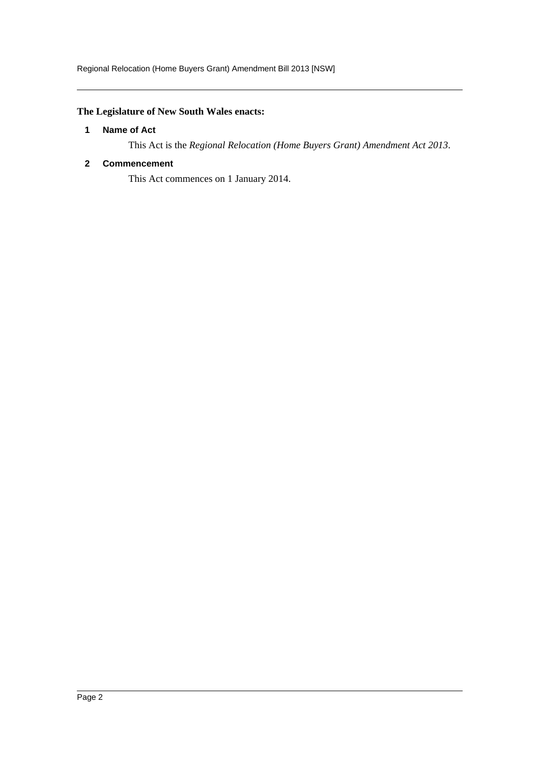## <span id="page-2-0"></span>**The Legislature of New South Wales enacts:**

### **1 Name of Act**

This Act is the *Regional Relocation (Home Buyers Grant) Amendment Act 2013*.

## <span id="page-2-1"></span>**2 Commencement**

This Act commences on 1 January 2014.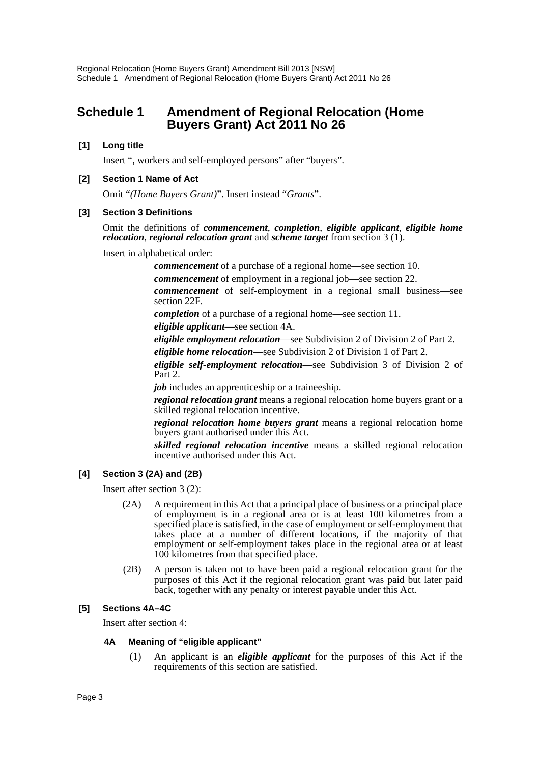# <span id="page-3-0"></span>**Schedule 1 Amendment of Regional Relocation (Home Buyers Grant) Act 2011 No 26**

## **[1] Long title**

Insert ", workers and self-employed persons" after "buyers".

### **[2] Section 1 Name of Act**

Omit "*(Home Buyers Grant)*". Insert instead "*Grants*".

### **[3] Section 3 Definitions**

Omit the definitions of *commencement*, *completion*, *eligible applicant*, *eligible home relocation*, *regional relocation grant* and *scheme target* from section 3 (1).

Insert in alphabetical order:

*commencement* of a purchase of a regional home—see section 10.

*commencement* of employment in a regional job—see section 22.

*commencement* of self-employment in a regional small business—see section 22F.

*completion* of a purchase of a regional home—see section 11.

*eligible applicant*—see section 4A.

*eligible employment relocation*—see Subdivision 2 of Division 2 of Part 2.

*eligible home relocation*—see Subdivision 2 of Division 1 of Part 2.

*eligible self-employment relocation*—see Subdivision 3 of Division 2 of Part 2.

*job* includes an apprenticeship or a traineeship.

*regional relocation grant* means a regional relocation home buyers grant or a skilled regional relocation incentive.

*regional relocation home buyers grant* means a regional relocation home buyers grant authorised under this Act.

*skilled regional relocation incentive* means a skilled regional relocation incentive authorised under this Act.

## **[4] Section 3 (2A) and (2B)**

Insert after section 3 (2):

- (2A) A requirement in this Act that a principal place of business or a principal place of employment is in a regional area or is at least 100 kilometres from a specified place is satisfied, in the case of employment or self-employment that takes place at a number of different locations, if the majority of that employment or self-employment takes place in the regional area or at least 100 kilometres from that specified place.
- (2B) A person is taken not to have been paid a regional relocation grant for the purposes of this Act if the regional relocation grant was paid but later paid back, together with any penalty or interest payable under this Act.

## **[5] Sections 4A–4C**

Insert after section 4:

## **4A Meaning of "eligible applicant"**

(1) An applicant is an *eligible applicant* for the purposes of this Act if the requirements of this section are satisfied.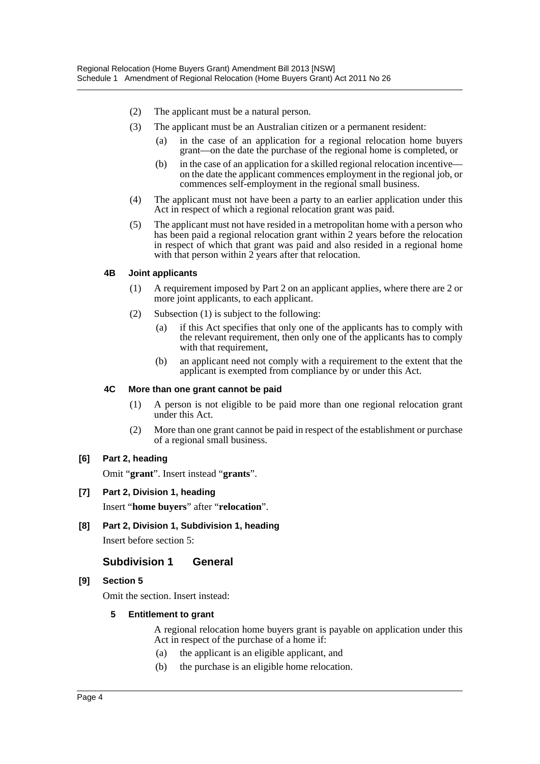- (2) The applicant must be a natural person.
- (3) The applicant must be an Australian citizen or a permanent resident:
	- (a) in the case of an application for a regional relocation home buyers grant—on the date the purchase of the regional home is completed, or
	- (b) in the case of an application for a skilled regional relocation incentive on the date the applicant commences employment in the regional job, or commences self-employment in the regional small business.
- (4) The applicant must not have been a party to an earlier application under this Act in respect of which a regional relocation grant was paid.
- (5) The applicant must not have resided in a metropolitan home with a person who has been paid a regional relocation grant within 2 years before the relocation in respect of which that grant was paid and also resided in a regional home with that person within 2 years after that relocation.

#### **4B Joint applicants**

- (1) A requirement imposed by Part 2 on an applicant applies, where there are 2 or more joint applicants, to each applicant.
- (2) Subsection (1) is subject to the following:
	- (a) if this Act specifies that only one of the applicants has to comply with the relevant requirement, then only one of the applicants has to comply with that requirement,
	- (b) an applicant need not comply with a requirement to the extent that the applicant is exempted from compliance by or under this Act.

#### **4C More than one grant cannot be paid**

- (1) A person is not eligible to be paid more than one regional relocation grant under this Act.
- (2) More than one grant cannot be paid in respect of the establishment or purchase of a regional small business.

#### **[6] Part 2, heading**

Omit "**grant**". Insert instead "**grants**".

#### **[7] Part 2, Division 1, heading**

Insert "**home buyers**" after "**relocation**".

**[8] Part 2, Division 1, Subdivision 1, heading**

Insert before section 5:

## **Subdivision 1 General**

#### **[9] Section 5**

Omit the section. Insert instead:

#### **5 Entitlement to grant**

A regional relocation home buyers grant is payable on application under this Act in respect of the purchase of a home if:

- (a) the applicant is an eligible applicant, and
- (b) the purchase is an eligible home relocation.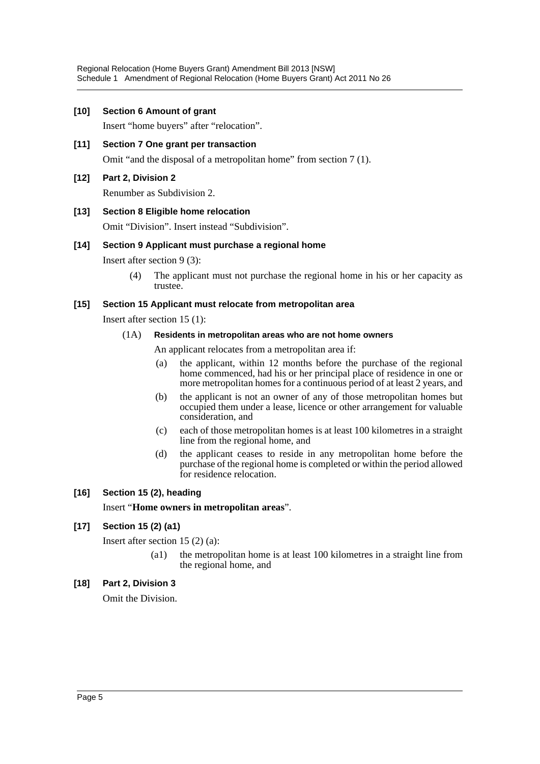#### **[10] Section 6 Amount of grant**

Insert "home buyers" after "relocation".

**[11] Section 7 One grant per transaction** Omit "and the disposal of a metropolitan home" from section 7 (1).

## **[12] Part 2, Division 2**

Renumber as Subdivision 2.

### **[13] Section 8 Eligible home relocation**

Omit "Division". Insert instead "Subdivision".

### **[14] Section 9 Applicant must purchase a regional home**

Insert after section 9 (3):

(4) The applicant must not purchase the regional home in his or her capacity as trustee.

### **[15] Section 15 Applicant must relocate from metropolitan area**

Insert after section 15 (1):

### (1A) **Residents in metropolitan areas who are not home owners**

An applicant relocates from a metropolitan area if:

- (a) the applicant, within 12 months before the purchase of the regional home commenced, had his or her principal place of residence in one or more metropolitan homes for a continuous period of at least 2 years, and
- (b) the applicant is not an owner of any of those metropolitan homes but occupied them under a lease, licence or other arrangement for valuable consideration, and
- (c) each of those metropolitan homes is at least 100 kilometres in a straight line from the regional home, and
- (d) the applicant ceases to reside in any metropolitan home before the purchase of the regional home is completed or within the period allowed for residence relocation.

## **[16] Section 15 (2), heading**

Insert "**Home owners in metropolitan areas**".

## **[17] Section 15 (2) (a1)**

Insert after section 15 (2) (a):

(a1) the metropolitan home is at least 100 kilometres in a straight line from the regional home, and

## **[18] Part 2, Division 3**

Omit the Division.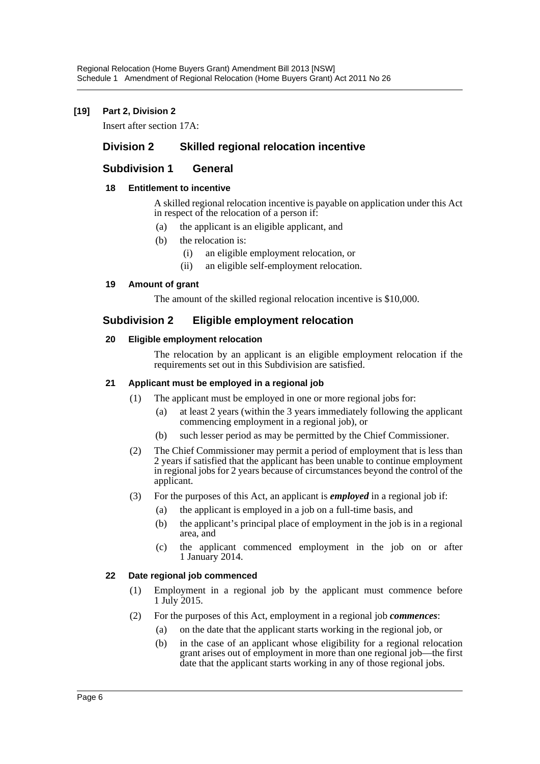## **[19] Part 2, Division 2**

Insert after section 17A:

## **Division 2 Skilled regional relocation incentive**

## **Subdivision 1 General**

## **18 Entitlement to incentive**

A skilled regional relocation incentive is payable on application under this Act in respect of the relocation of a person if:

- (a) the applicant is an eligible applicant, and
- (b) the relocation is:
	- (i) an eligible employment relocation, or
	- (ii) an eligible self-employment relocation.

### **19 Amount of grant**

The amount of the skilled regional relocation incentive is \$10,000.

## **Subdivision 2 Eligible employment relocation**

### **20 Eligible employment relocation**

The relocation by an applicant is an eligible employment relocation if the requirements set out in this Subdivision are satisfied.

### **21 Applicant must be employed in a regional job**

- (1) The applicant must be employed in one or more regional jobs for:
	- (a) at least 2 years (within the 3 years immediately following the applicant commencing employment in a regional job), or
	- (b) such lesser period as may be permitted by the Chief Commissioner.
- (2) The Chief Commissioner may permit a period of employment that is less than 2 years if satisfied that the applicant has been unable to continue employment in regional jobs for 2 years because of circumstances beyond the control of the applicant.
- (3) For the purposes of this Act, an applicant is *employed* in a regional job if:
	- (a) the applicant is employed in a job on a full-time basis, and
	- (b) the applicant's principal place of employment in the job is in a regional area, and
	- (c) the applicant commenced employment in the job on or after 1 January 2014.

## **22 Date regional job commenced**

- (1) Employment in a regional job by the applicant must commence before 1 July 2015.
- (2) For the purposes of this Act, employment in a regional job *commences*:
	- (a) on the date that the applicant starts working in the regional job, or
	- (b) in the case of an applicant whose eligibility for a regional relocation grant arises out of employment in more than one regional job—the first date that the applicant starts working in any of those regional jobs.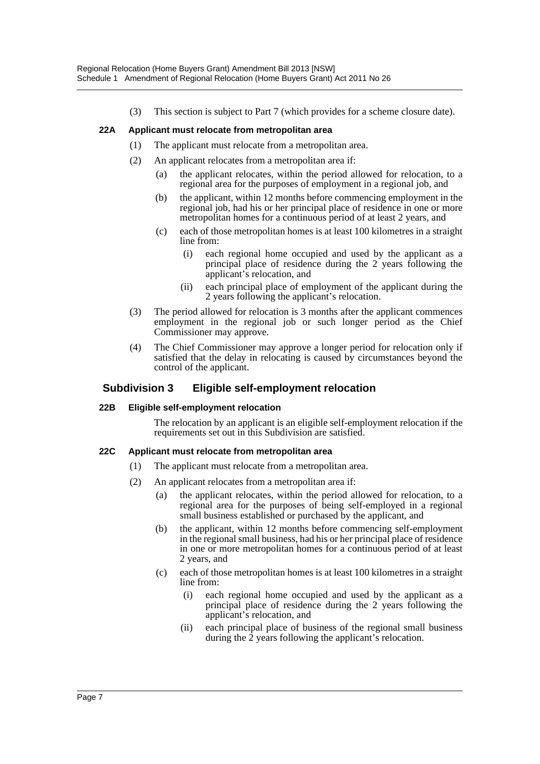(3) This section is subject to Part 7 (which provides for a scheme closure date).

## **22A Applicant must relocate from metropolitan area**

- (1) The applicant must relocate from a metropolitan area.
- (2) An applicant relocates from a metropolitan area if:
	- (a) the applicant relocates, within the period allowed for relocation, to a regional area for the purposes of employment in a regional job, and
	- (b) the applicant, within 12 months before commencing employment in the regional job, had his or her principal place of residence in one or more metropolitan homes for a continuous period of at least 2 years, and
	- (c) each of those metropolitan homes is at least 100 kilometres in a straight line from:
		- (i) each regional home occupied and used by the applicant as a principal place of residence during the 2 years following the applicant's relocation, and
		- (ii) each principal place of employment of the applicant during the 2 years following the applicant's relocation.
- (3) The period allowed for relocation is 3 months after the applicant commences employment in the regional job or such longer period as the Chief Commissioner may approve.
- (4) The Chief Commissioner may approve a longer period for relocation only if satisfied that the delay in relocating is caused by circumstances beyond the control of the applicant.

## **Subdivision 3 Eligible self-employment relocation**

#### **22B Eligible self-employment relocation**

The relocation by an applicant is an eligible self-employment relocation if the requirements set out in this Subdivision are satisfied.

#### **22C Applicant must relocate from metropolitan area**

- (1) The applicant must relocate from a metropolitan area.
- (2) An applicant relocates from a metropolitan area if:
	- (a) the applicant relocates, within the period allowed for relocation, to a regional area for the purposes of being self-employed in a regional small business established or purchased by the applicant, and
	- (b) the applicant, within 12 months before commencing self-employment in the regional small business, had his or her principal place of residence in one or more metropolitan homes for a continuous period of at least 2 years, and
	- (c) each of those metropolitan homes is at least 100 kilometres in a straight line from:
		- (i) each regional home occupied and used by the applicant as a principal place of residence during the 2 years following the applicant's relocation, and
		- (ii) each principal place of business of the regional small business during the 2 years following the applicant's relocation.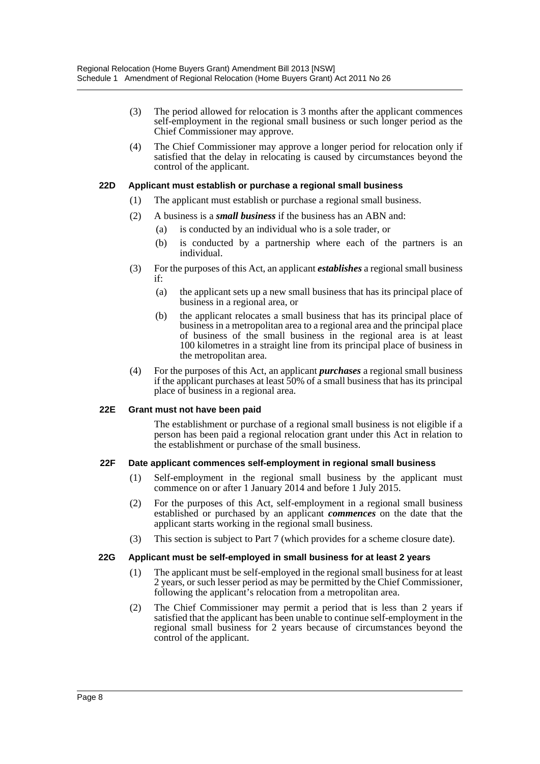- (3) The period allowed for relocation is 3 months after the applicant commences self-employment in the regional small business or such longer period as the Chief Commissioner may approve.
- (4) The Chief Commissioner may approve a longer period for relocation only if satisfied that the delay in relocating is caused by circumstances beyond the control of the applicant.

#### **22D Applicant must establish or purchase a regional small business**

- (1) The applicant must establish or purchase a regional small business.
- (2) A business is a *small business* if the business has an ABN and:
	- (a) is conducted by an individual who is a sole trader, or
	- (b) is conducted by a partnership where each of the partners is an individual.
- (3) For the purposes of this Act, an applicant *establishes* a regional small business if:
	- (a) the applicant sets up a new small business that has its principal place of business in a regional area, or
	- (b) the applicant relocates a small business that has its principal place of business in a metropolitan area to a regional area and the principal place of business of the small business in the regional area is at least 100 kilometres in a straight line from its principal place of business in the metropolitan area.
- (4) For the purposes of this Act, an applicant *purchases* a regional small business if the applicant purchases at least 50% of a small business that has its principal place of business in a regional area.

#### **22E Grant must not have been paid**

The establishment or purchase of a regional small business is not eligible if a person has been paid a regional relocation grant under this Act in relation to the establishment or purchase of the small business.

#### **22F Date applicant commences self-employment in regional small business**

- (1) Self-employment in the regional small business by the applicant must commence on or after 1 January 2014 and before 1 July 2015.
- (2) For the purposes of this Act, self-employment in a regional small business established or purchased by an applicant *commences* on the date that the applicant starts working in the regional small business.
- (3) This section is subject to Part 7 (which provides for a scheme closure date).

#### **22G Applicant must be self-employed in small business for at least 2 years**

- (1) The applicant must be self-employed in the regional small business for at least 2 years, or such lesser period as may be permitted by the Chief Commissioner, following the applicant's relocation from a metropolitan area.
- (2) The Chief Commissioner may permit a period that is less than 2 years if satisfied that the applicant has been unable to continue self-employment in the regional small business for 2 years because of circumstances beyond the control of the applicant.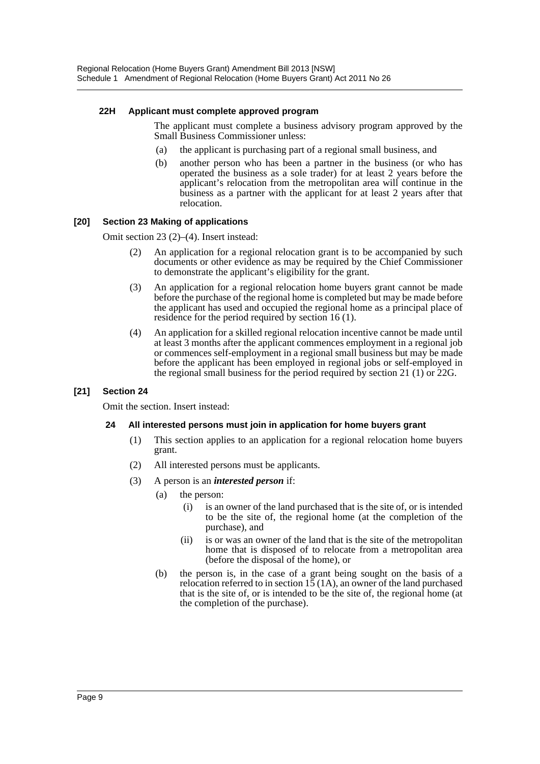#### **22H Applicant must complete approved program**

The applicant must complete a business advisory program approved by the Small Business Commissioner unless:

- (a) the applicant is purchasing part of a regional small business, and
- (b) another person who has been a partner in the business (or who has operated the business as a sole trader) for at least 2 years before the applicant's relocation from the metropolitan area will continue in the business as a partner with the applicant for at least 2 years after that relocation.

### **[20] Section 23 Making of applications**

Omit section 23 (2)–(4). Insert instead:

- (2) An application for a regional relocation grant is to be accompanied by such documents or other evidence as may be required by the Chief Commissioner to demonstrate the applicant's eligibility for the grant.
- (3) An application for a regional relocation home buyers grant cannot be made before the purchase of the regional home is completed but may be made before the applicant has used and occupied the regional home as a principal place of residence for the period required by section 16 (1).
- (4) An application for a skilled regional relocation incentive cannot be made until at least 3 months after the applicant commences employment in a regional job or commences self-employment in a regional small business but may be made before the applicant has been employed in regional jobs or self-employed in the regional small business for the period required by section 21 (1) or 22G.

#### **[21] Section 24**

Omit the section. Insert instead:

#### **24 All interested persons must join in application for home buyers grant**

- (1) This section applies to an application for a regional relocation home buyers grant.
- (2) All interested persons must be applicants.
- (3) A person is an *interested person* if:
	- (a) the person:
		- (i) is an owner of the land purchased that is the site of, or is intended to be the site of, the regional home (at the completion of the purchase), and
		- (ii) is or was an owner of the land that is the site of the metropolitan home that is disposed of to relocate from a metropolitan area (before the disposal of the home), or
	- (b) the person is, in the case of a grant being sought on the basis of a relocation referred to in section  $15(1A)$ , an owner of the land purchased that is the site of, or is intended to be the site of, the regional home (at the completion of the purchase).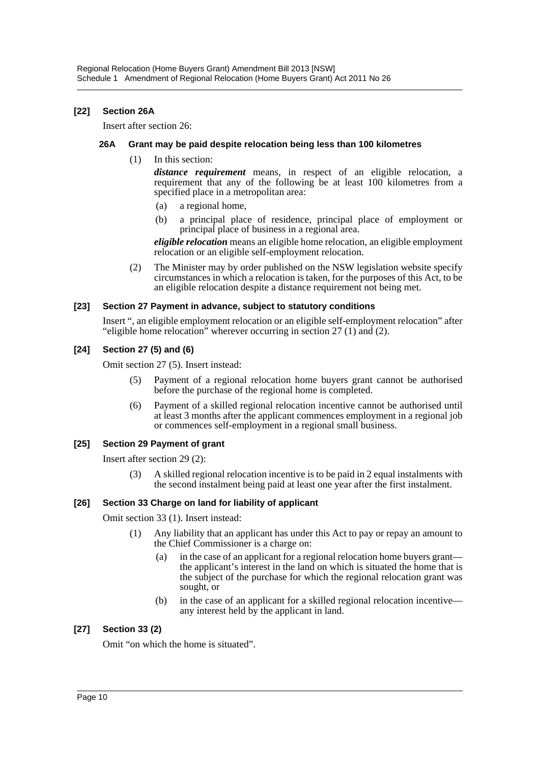## **[22] Section 26A**

Insert after section 26:

#### **26A Grant may be paid despite relocation being less than 100 kilometres**

(1) In this section:

*distance requirement* means, in respect of an eligible relocation, a requirement that any of the following be at least 100 kilometres from a specified place in a metropolitan area:

- (a) a regional home,
- (b) a principal place of residence, principal place of employment or principal place of business in a regional area.

*eligible relocation* means an eligible home relocation, an eligible employment relocation or an eligible self-employment relocation.

(2) The Minister may by order published on the NSW legislation website specify circumstances in which a relocation is taken, for the purposes of this Act, to be an eligible relocation despite a distance requirement not being met.

#### **[23] Section 27 Payment in advance, subject to statutory conditions**

Insert ", an eligible employment relocation or an eligible self-employment relocation" after "eligible home relocation" wherever occurring in section 27 (1) and (2).

## **[24] Section 27 (5) and (6)**

Omit section 27 (5). Insert instead:

- (5) Payment of a regional relocation home buyers grant cannot be authorised before the purchase of the regional home is completed.
- (6) Payment of a skilled regional relocation incentive cannot be authorised until at least 3 months after the applicant commences employment in a regional job or commences self-employment in a regional small business.

#### **[25] Section 29 Payment of grant**

Insert after section 29 (2):

(3) A skilled regional relocation incentive is to be paid in 2 equal instalments with the second instalment being paid at least one year after the first instalment.

## **[26] Section 33 Charge on land for liability of applicant**

Omit section 33 (1). Insert instead:

- (1) Any liability that an applicant has under this Act to pay or repay an amount to the Chief Commissioner is a charge on:
	- (a) in the case of an applicant for a regional relocation home buyers grant the applicant's interest in the land on which is situated the home that is the subject of the purchase for which the regional relocation grant was sought, or
	- (b) in the case of an applicant for a skilled regional relocation incentive any interest held by the applicant in land.

## **[27] Section 33 (2)**

Omit "on which the home is situated".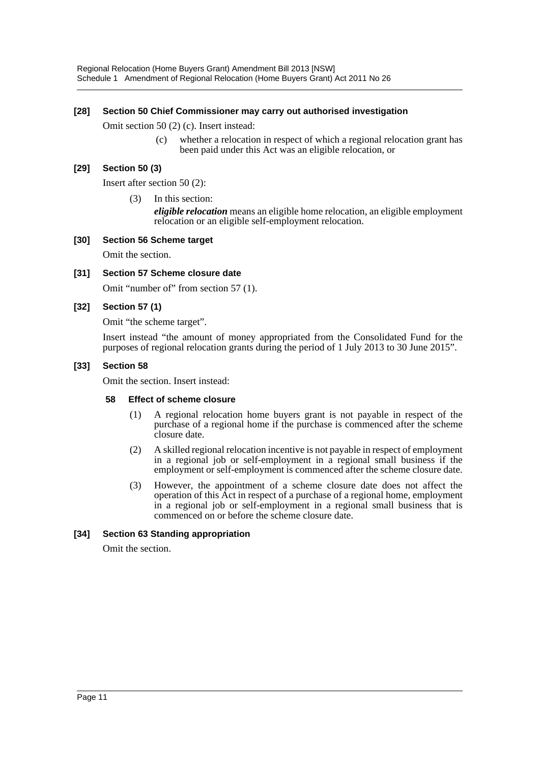### **[28] Section 50 Chief Commissioner may carry out authorised investigation**

Omit section 50 (2) (c). Insert instead:

(c) whether a relocation in respect of which a regional relocation grant has been paid under this Act was an eligible relocation, or

#### **[29] Section 50 (3)**

Insert after section 50 (2):

(3) In this section:

*eligible relocation* means an eligible home relocation, an eligible employment relocation or an eligible self-employment relocation.

#### **[30] Section 56 Scheme target**

Omit the section.

#### **[31] Section 57 Scheme closure date**

Omit "number of" from section 57 (1).

#### **[32] Section 57 (1)**

Omit "the scheme target".

Insert instead "the amount of money appropriated from the Consolidated Fund for the purposes of regional relocation grants during the period of 1 July 2013 to 30 June 2015".

#### **[33] Section 58**

Omit the section. Insert instead:

#### **58 Effect of scheme closure**

- (1) A regional relocation home buyers grant is not payable in respect of the purchase of a regional home if the purchase is commenced after the scheme closure date.
- (2) A skilled regional relocation incentive is not payable in respect of employment in a regional job or self-employment in a regional small business if the employment or self-employment is commenced after the scheme closure date.
- (3) However, the appointment of a scheme closure date does not affect the operation of this Act in respect of a purchase of a regional home, employment in a regional job or self-employment in a regional small business that is commenced on or before the scheme closure date.

#### **[34] Section 63 Standing appropriation**

Omit the section.